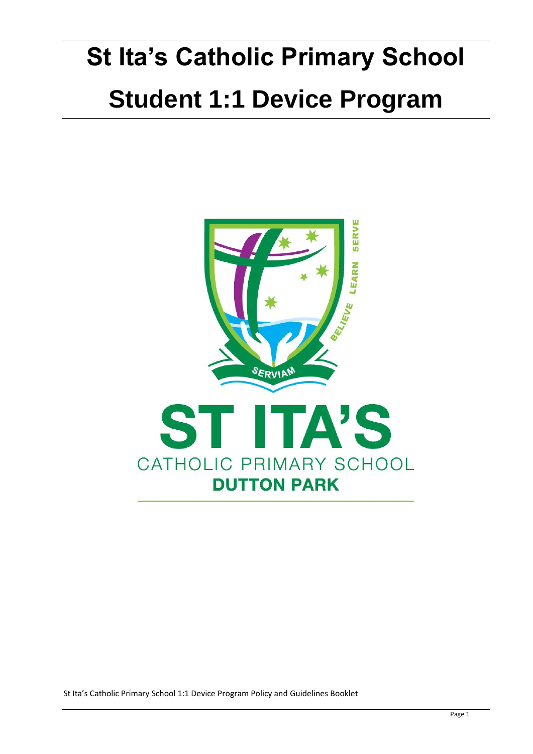# **St Ita's Catholic Primary School Student 1:1 Device Program**

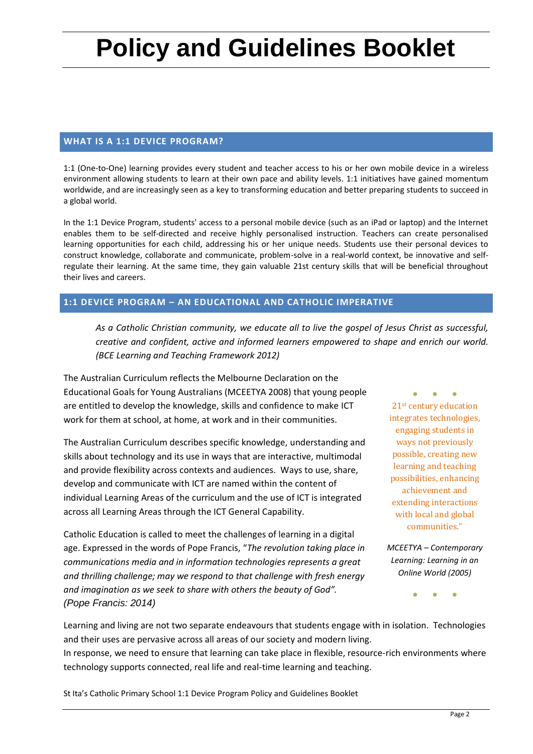# **Policy and Guidelines Booklet**

#### **WHAT IS A 1:1 DEVICE PROGRAM?**

1:1 (One-to-One) learning provides every student and teacher access to his or her own mobile device in a wireless environment allowing students to learn at their own pace and ability levels. 1:1 initiatives have gained momentum worldwide, and are increasingly seen as a key to transforming education and better preparing students to succeed in a global world.

In the 1:1 Device Program, students' access to a personal mobile device (such as an iPad or laptop) and the Internet enables them to be self-directed and receive highly personalised instruction. Teachers can create personalised learning opportunities for each child, addressing his or her unique needs. Students use their personal devices to construct knowledge, collaborate and communicate, problem-solve in a real-world context, be innovative and selfregulate their learning. At the same time, they gain valuable 21st century skills that will be beneficial throughout their lives and careers.

#### **1:1 DEVICE PROGRAM – AN EDUCATIONAL AND CATHOLIC IMPERATIVE**

*As a Catholic Christian community, we educate all to live the gospel of Jesus Christ as successful, creative and confident, active and informed learners empowered to shape and enrich our world. (BCE Learning and Teaching Framework 2012)*

The Australian Curriculum reflects the Melbourne Declaration on the Educational Goals for Young Australians (MCEETYA 2008) that young people are entitled to develop the knowledge, skills and confidence to make ICT work for them at school, at home, at work and in their communities.

The Australian Curriculum describes specific knowledge, understanding and skills about technology and its use in ways that are interactive, multimodal and provide flexibility across contexts and audiences. Ways to use, share, develop and communicate with ICT are named within the content of individual Learning Areas of the curriculum and the use of ICT is integrated across all Learning Areas through the ICT General Capability.

Catholic Education is called to meet the challenges of learning in a digital age. Expressed in the words of Pope Francis, "*The revolution taking place in communications media and in information technologies represents a great and thrilling challenge; may we respond to that challenge with fresh energy and imagination as we seek to share with others the beauty of God". (Pope Francis: 2014)*

● ● ● 21st century education integrates technologies, engaging students in ways not previously possible, creating new learning and teaching possibilities, enhancing achievement and extending interactions with local and global communities."

*MCEETYA – Contemporary Learning: Learning in an Online World (2005)*

● ● ●

Learning and living are not two separate endeavours that students engage with in isolation. Technologies and their uses are pervasive across all areas of our society and modern living.

In response, we need to ensure that learning can take place in flexible, resource-rich environments where technology supports connected, real life and real-time learning and teaching.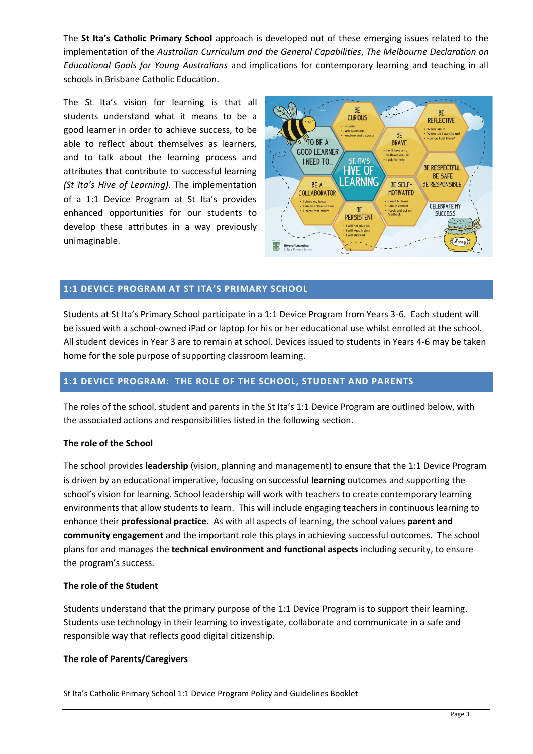The **St Ita's Catholic Primary School** approach is developed out of these emerging issues related to the implementation of the *Australian Curriculum and the General Capabilities*, *The Melbourne Declaration on Educational Goals for Young Australians* and implications for contemporary learning and teaching in all schools in Brisbane Catholic Education.

The St Ita's vision for learning is that all students understand what it means to be a good learner in order to achieve success, to be able to reflect about themselves as learners, and to talk about the learning process and attributes that contribute to successful learning *(St Ita's Hive of Learning)*. The implementation of a 1:1 Device Program at St Ita's provides enhanced opportunities for our students to develop these attributes in a way previously unimaginable.



#### **1:1 DEVICE PROGRAM AT ST ITA'S PRIMARY SCHOOL**

Students at St Ita's Primary School participate in a 1:1 Device Program from Years 3-6. Each student will be issued with a school-owned iPad or laptop for his or her educational use whilst enrolled at the school. All student devices in Year 3 are to remain at school. Devices issued to students in Years 4-6 may be taken home for the sole purpose of supporting classroom learning.

#### **1:1 DEVICE PROGRAM: THE ROLE OF THE SCHOOL, STUDENT AND PARENTS**

The roles of the school, student and parents in the St Ita's 1:1 Device Program are outlined below, with the associated actions and responsibilities listed in the following section.

#### **The role of the School**

The school provides **leadership** (vision, planning and management) to ensure that the 1:1 Device Program is driven by an educational imperative, focusing on successful **learning** outcomes and supporting the school's vision for learning. School leadership will work with teachers to create contemporary learning environments that allow students to learn. This will include engaging teachers in continuous learning to enhance their **professional practice**. As with all aspects of learning, the school values **parent and community engagement** and the important role this plays in achieving successful outcomes. The school plans for and manages the **technical environment and functional aspects** including security, to ensure the program's success.

#### **The role of the Student**

Students understand that the primary purpose of the 1:1 Device Program is to support their learning. Students use technology in their learning to investigate, collaborate and communicate in a safe and responsible way that reflects good digital citizenship.

#### **The role of Parents/Caregivers**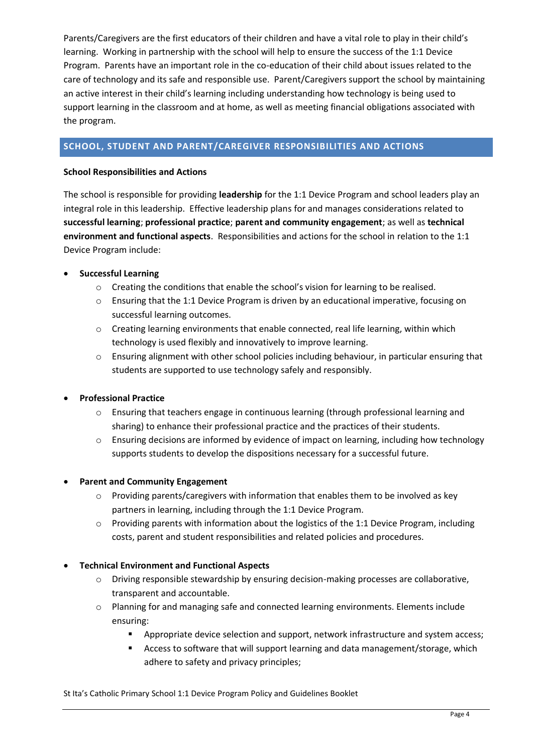Parents/Caregivers are the first educators of their children and have a vital role to play in their child's learning. Working in partnership with the school will help to ensure the success of the 1:1 Device Program. Parents have an important role in the co-education of their child about issues related to the care of technology and its safe and responsible use. Parent/Caregivers support the school by maintaining an active interest in their child's learning including understanding how technology is being used to support learning in the classroom and at home, as well as meeting financial obligations associated with the program.

## **SCHOOL, STUDENT AND PARENT/CAREGIVER RESPONSIBILITIES AND ACTIONS**

#### **School Responsibilities and Actions**

The school is responsible for providing **leadership** for the 1:1 Device Program and school leaders play an integral role in this leadership. Effective leadership plans for and manages considerations related to **successful learning**; **professional practice**; **parent and community engagement**; as well as **technical environment and functional aspects**. Responsibilities and actions for the school in relation to the 1:1 Device Program include:

#### • **Successful Learning**

- o Creating the conditions that enable the school's vision for learning to be realised.
- $\circ$  Ensuring that the 1:1 Device Program is driven by an educational imperative, focusing on successful learning outcomes.
- $\circ$  Creating learning environments that enable connected, real life learning, within which technology is used flexibly and innovatively to improve learning.
- $\circ$  Ensuring alignment with other school policies including behaviour, in particular ensuring that students are supported to use technology safely and responsibly.

#### • **Professional Practice**

- o Ensuring that teachers engage in continuous learning (through professional learning and sharing) to enhance their professional practice and the practices of their students.
- o Ensuring decisions are informed by evidence of impact on learning, including how technology supports students to develop the dispositions necessary for a successful future.

#### • **Parent and Community Engagement**

- o Providing parents/caregivers with information that enables them to be involved as key partners in learning, including through the 1:1 Device Program.
- o Providing parents with information about the logistics of the 1:1 Device Program, including costs, parent and student responsibilities and related policies and procedures.

#### • **Technical Environment and Functional Aspects**

- o Driving responsible stewardship by ensuring decision-making processes are collaborative, transparent and accountable.
- o Planning for and managing safe and connected learning environments. Elements include ensuring:
	- **•** Appropriate device selection and support, network infrastructure and system access;
	- Access to software that will support learning and data management/storage, which adhere to safety and privacy principles;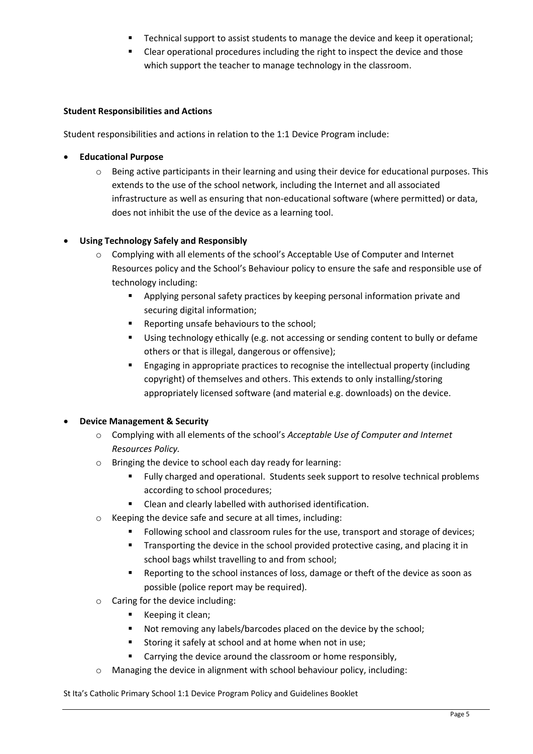- Technical support to assist students to manage the device and keep it operational;
- Clear operational procedures including the right to inspect the device and those which support the teacher to manage technology in the classroom.

#### **Student Responsibilities and Actions**

Student responsibilities and actions in relation to the 1:1 Device Program include:

#### • **Educational Purpose**

o Being active participants in their learning and using their device for educational purposes. This extends to the use of the school network, including the Internet and all associated infrastructure as well as ensuring that non-educational software (where permitted) or data, does not inhibit the use of the device as a learning tool.

#### • **Using Technology Safely and Responsibly**

- o Complying with all elements of the school's Acceptable Use of Computer and Internet Resources policy and the School's Behaviour policy to ensure the safe and responsible use of technology including:
	- Applying personal safety practices by keeping personal information private and securing digital information;
	- Reporting unsafe behaviours to the school;
	- Using technology ethically (e.g. not accessing or sending content to bully or defame others or that is illegal, dangerous or offensive);
	- Engaging in appropriate practices to recognise the intellectual property (including copyright) of themselves and others. This extends to only installing/storing appropriately licensed software (and material e.g. downloads) on the device.

#### • **Device Management & Security**

- o Complying with all elements of the school's *Acceptable Use of Computer and Internet Resources Policy.*
- o Bringing the device to school each day ready for learning:
	- Fully charged and operational. Students seek support to resolve technical problems according to school procedures;
	- Clean and clearly labelled with authorised identification.
- o Keeping the device safe and secure at all times, including:
	- Following school and classroom rules for the use, transport and storage of devices;
	- **•** Transporting the device in the school provided protective casing, and placing it in school bags whilst travelling to and from school;
	- Reporting to the school instances of loss, damage or theft of the device as soon as possible (police report may be required).
- o Caring for the device including:
	- Keeping it clean;
	- Not removing any labels/barcodes placed on the device by the school;
	- Storing it safely at school and at home when not in use;
	- Carrying the device around the classroom or home responsibly,
- o Managing the device in alignment with school behaviour policy, including: